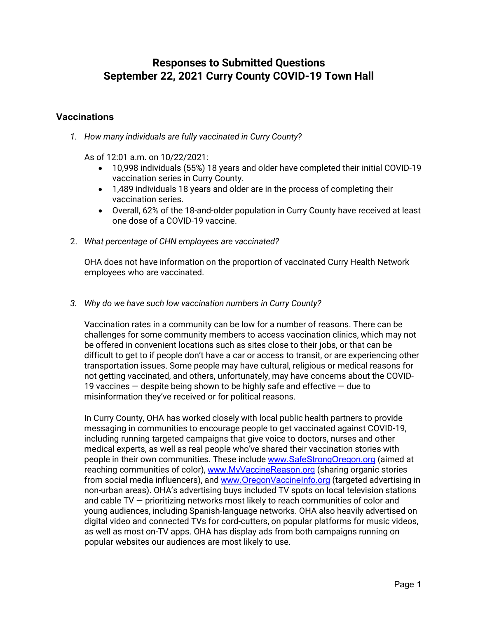# **Responses to Submitted Questions September 22, 2021 Curry County COVID-19 Town Hall**

### **Vaccinations**

*1. How many individuals are fully vaccinated in Curry County?*

As of  $12:01$  a.m. on  $10/22/2021$ .

- 10,998 individuals (55%) 18 years and older have completed their initial COVID-19 vaccination series in Curry County.
- 1,489 individuals 18 years and older are in the process of completing their vaccination series.
- Overall, 62% of the 18-and-older population in Curry County have received at least one dose of a COVID-19 vaccine.
- 2. *What percentage of CHN employees are vaccinated?*

OHA does not have information on the proportion of vaccinated Curry Health Network employees who are vaccinated.

*3. Why do we have such low vaccination numbers in Curry County?*

Vaccination rates in a community can be low for a number of reasons. There can be challenges for some community members to access vaccination clinics, which may not be offered in convenient locations such as sites close to their jobs, or that can be difficult to get to if people don't have a car or access to transit, or are experiencing other transportation issues. Some people may have cultural, religious or medical reasons for not getting vaccinated, and others, unfortunately, may have concerns about the COVID-19 vaccines  $-$  despite being shown to be highly safe and effective  $-$  due to misinformation they've received or for political reasons.

In Curry County, OHA has worked closely with local public health partners to provide messaging in communities to encourage people to get vaccinated against COVID-19, including running targeted campaigns that give voice to doctors, nurses and other medical experts, as well as real people who've shared their vaccination stories with people in their own communities. These include [www.SafeStrongOregon.org](https://urldefense.com/v3/__https:/www.SafeStrongOregon.org__;!!OxGzbBZ6!O-agf0CYYfXtL-hzTq1me_uiAURJtGyQMDMuACOrxQrW7oHgTsX7vV8Dk1Ae8Pn0T_-t4V8g-us$) (aimed at reaching communities of color), [www.MyVaccineReason.org](https://urldefense.com/v3/__https:/www.MyVaccineReason.org__;!!OxGzbBZ6!O-agf0CYYfXtL-hzTq1me_uiAURJtGyQMDMuACOrxQrW7oHgTsX7vV8Dk1Ae8Pn0T_-tO_BC6qE$) (sharing organic stories from social media influencers), and [www.OregonVaccineInfo.org](https://urldefense.com/v3/__https:/www.OregonVaccineInfo.org__;!!OxGzbBZ6!O-agf0CYYfXtL-hzTq1me_uiAURJtGyQMDMuACOrxQrW7oHgTsX7vV8Dk1Ae8Pn0T_-tsIX6uqg$) (targeted advertising in non-urban areas). OHA's advertising buys included TV spots on local television stations and cable TV — prioritizing networks most likely to reach communities of color and young audiences, including Spanish-language networks. OHA also heavily advertised on digital video and connected TVs for cord-cutters, on popular platforms for music videos, as well as most on-TV apps. OHA has display ads from both campaigns running on popular websites our audiences are most likely to use.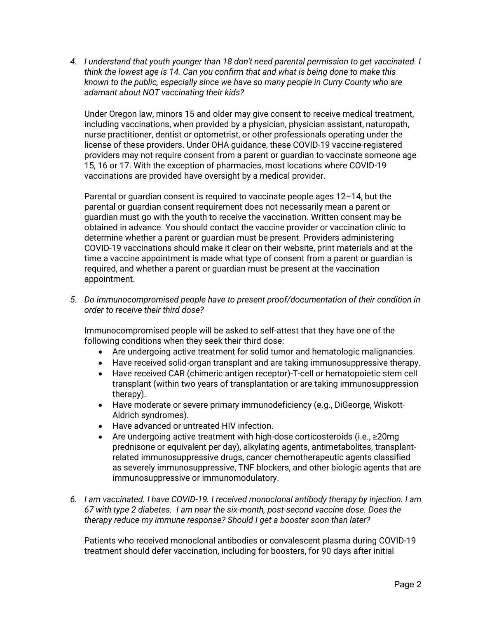*4. I understand that youth younger than 18 don't need parental permission to get vaccinated. I think the lowest age is 14. Can you confirm that and what is being done to make this known to the public, especially since we have so many people in Curry County who are adamant about NOT vaccinating their kids?*

Under Oregon law, minors 15 and older may give consent to receive medical treatment, including vaccinations, when provided by a physician, physician assistant, naturopath, nurse practitioner, dentist or optometrist, or other professionals operating under the license of these providers. Under OHA guidance, these COVID-19 vaccine-registered providers may not require consent from a parent or guardian to vaccinate someone age 15, 16 or 17. With the exception of pharmacies, most locations where COVID-19 vaccinations are provided have oversight by a medical provider.

Parental or guardian consent is required to vaccinate people ages 12–14, but the parental or guardian consent requirement does not necessarily mean a parent or guardian must go with the youth to receive the vaccination. Written consent may be obtained in advance. You should contact the vaccine provider or vaccination clinic to determine whether a parent or guardian must be present. Providers administering COVID-19 vaccinations should make it clear on their website, print materials and at the time a vaccine appointment is made what type of consent from a parent or guardian is required, and whether a parent or guardian must be present at the vaccination appointment.

*5. Do immunocompromised people have to present proof/documentation of their condition in order to receive their third dose?*

Immunocompromised people will be asked to self-attest that they have one of the following conditions when they seek their third dose:

- Are undergoing active treatment for solid tumor and hematologic malignancies.
- Have received solid-organ transplant and are taking immunosuppressive therapy.
- Have received CAR (chimeric antigen receptor)-T-cell or hematopoietic stem cell transplant (within two years of transplantation or are taking immunosuppression therapy).
- Have moderate or severe primary immunodeficiency (e.g., DiGeorge, Wiskott-Aldrich syndromes).
- Have advanced or untreated HIV infection.
- Are undergoing active treatment with high-dose corticosteroids (i.e., ≥20mg prednisone or equivalent per day), alkylating agents, antimetabolites, transplantrelated immunosuppressive drugs, cancer chemotherapeutic agents classified as severely immunosuppressive, TNF blockers, and other biologic agents that are immunosuppressive or immunomodulatory.
- *6. I am vaccinated. I have COVID-19. I received monoclonal antibody therapy by injection. I am 67 with type 2 diabetes. I am near the six-month, post-second vaccine dose. Does the therapy reduce my immune response? Should I get a booster soon than later?*

Patients who received monoclonal antibodies or convalescent plasma during COVID-19 treatment should defer vaccination, including for boosters, for 90 days after initial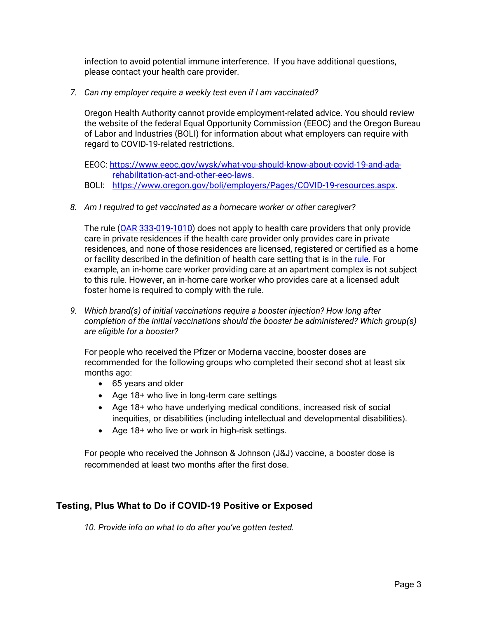infection to avoid potential immune interference. If you have additional questions, please contact your health care provider.

*7. Can my employer require a weekly test even if I am vaccinated?*

Oregon Health Authority cannot provide employment-related advice. You should review the website of the federal Equal Opportunity Commission (EEOC) and the Oregon Bureau of Labor and Industries (BOLI) for information about what employers can require with regard to COVID-19-related restrictions.

EEOC: [https://www.eeoc.gov/wysk/what-you-should-know-about-covid-19-and-ada](https://www.eeoc.gov/wysk/what-you-should-know-about-covid-19-and-ada-rehabilitation-act-and-other-eeo-laws)[rehabilitation-act-and-other-eeo-laws.](https://www.eeoc.gov/wysk/what-you-should-know-about-covid-19-and-ada-rehabilitation-act-and-other-eeo-laws)

- BOLI: [https://www.oregon.gov/boli/employers/Pages/COVID-19-resources.aspx.](https://www.oregon.gov/boli/employers/Pages/COVID-19-resources.aspx)
- *8. Am I required to get vaccinated as a homecare worker or other caregiver?*

The rule [\(OAR 333-019-1010\)](https://secure.sos.state.or.us/oard/viewSingleRule.action?ruleVrsnRsn=280799) does not apply to health care providers that only provide care in private residences if the health care provider only provides care in private residences, and none of those residences are licensed, registered or certified as a home or facility described in the definition of health care setting that is in the [rule.](https://secure.sos.state.or.us/oard/viewSingleRule.action?ruleVrsnRsn=280799) For example, an in-home care worker providing care at an apartment complex is not subject to this rule. However, an in-home care worker who provides care at a licensed adult foster home is required to comply with the rule.

*9. Which brand(s) of initial vaccinations require a booster injection? How long after completion of the initial vaccinations should the booster be administered? Which group(s) are eligible for a booster?*

For people who received the Pfizer or Moderna vaccine, booster doses are recommended for the following groups who completed their second shot at least six months ago:

- 65 years and older
- Age 18+ who live in long-term care settings
- Age 18+ who have underlying medical conditions, increased risk of social inequities, or disabilities (including intellectual and developmental disabilities).
- Age 18+ who live or work in high-risk settings.

For people who received the Johnson & Johnson (J&J) vaccine, a booster dose is recommended at least two months after the first dose.

## **Testing, Plus What to Do if COVID-19 Positive or Exposed**

*10. Provide info on what to do after you've gotten tested.*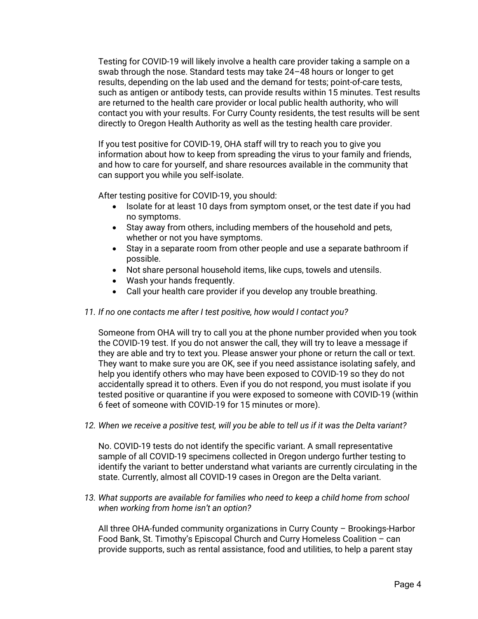Testing for COVID-19 will likely involve a health care provider taking a sample on a swab through the nose. Standard tests may take 24–48 hours or longer to get results, depending on the lab used and the demand for tests; point-of-care tests, such as antigen or antibody tests, can provide results within 15 minutes. Test results are returned to the health care provider or local public health authority, who will contact you with your results. For Curry County residents, the test results will be sent directly to Oregon Health Authority as well as the testing health care provider.

If you test positive for COVID-19, OHA staff will try to reach you to give you information about how to keep from spreading the virus to your family and friends, and how to care for yourself, and share resources available in the community that can support you while you self-isolate.

After testing positive for COVID-19, you should:

- Isolate for at least 10 days from symptom onset, or the test date if you had no symptoms.
- Stay away from others, including members of the household and pets, whether or not you have symptoms.
- Stay in a separate room from other people and use a separate bathroom if possible.
- Not share personal household items, like cups, towels and utensils.
- Wash your hands frequently.
- Call your health care provider if you develop any trouble breathing.

#### *11. If no one contacts me after I test positive, how would I contact you?*

Someone from OHA will try to call you at the phone number provided when you took the COVID-19 test. If you do not answer the call, they will try to leave a message if they are able and try to text you. Please answer your phone or return the call or text. They want to make sure you are OK, see if you need assistance isolating safely, and help you identify others who may have been exposed to COVID-19 so they do not accidentally spread it to others. Even if you do not respond, you must isolate if you tested positive or quarantine if you were exposed to someone with COVID-19 (within 6 feet of someone with COVID-19 for 15 minutes or more).

*12. When we receive a positive test, will you be able to tell us if it was the Delta variant?* 

No. COVID-19 tests do not identify the specific variant. A small representative sample of all COVID-19 specimens collected in Oregon undergo further testing to identify the variant to better understand what variants are currently circulating in the state. Currently, almost all COVID-19 cases in Oregon are the Delta variant.

*13. What supports are available for families who need to keep a child home from school when working from home isn't an option?*

All three OHA-funded community organizations in Curry County – Brookings-Harbor Food Bank, St. Timothy's Episcopal Church and Curry Homeless Coalition – can provide supports, such as rental assistance, food and utilities, to help a parent stay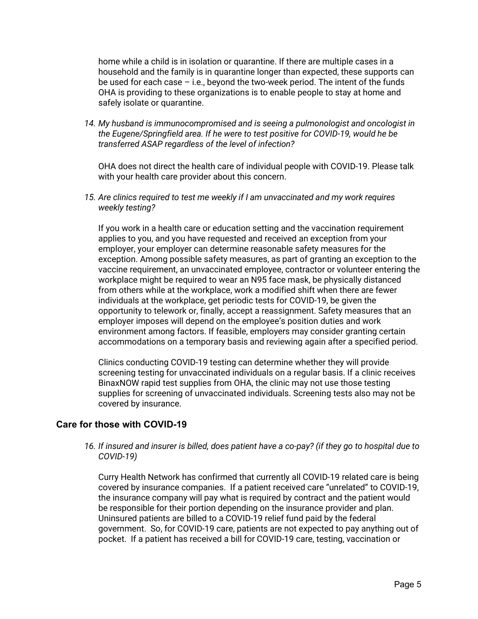home while a child is in isolation or quarantine. If there are multiple cases in a household and the family is in quarantine longer than expected, these supports can be used for each case – i.e., beyond the two-week period. The intent of the funds OHA is providing to these organizations is to enable people to stay at home and safely isolate or quarantine.

*14. My husband is immunocompromised and is seeing a pulmonologist and oncologist in the Eugene/Springfield area. If he were to test positive for COVID-19, would he be transferred ASAP regardless of the level of infection?*

OHA does not direct the health care of individual people with COVID-19. Please talk with your health care provider about this concern.

*15. Are clinics required to test me weekly if I am unvaccinated and my work requires weekly testing?*

If you work in a health care or education setting and the vaccination requirement applies to you, and you have requested and received an exception from your employer, your employer can determine reasonable safety measures for the exception. Among possible safety measures, as part of granting an exception to the vaccine requirement, an unvaccinated employee, contractor or volunteer entering the workplace might be required to wear an N95 face mask, be physically distanced from others while at the workplace, work a modified shift when there are fewer individuals at the workplace, get periodic tests for COVID-19, be given the opportunity to telework or, finally, accept a reassignment. Safety measures that an employer imposes will depend on the employee's position duties and work environment among factors. If feasible, employers may consider granting certain accommodations on a temporary basis and reviewing again after a specified period.

Clinics conducting COVID-19 testing can determine whether they will provide screening testing for unvaccinated individuals on a regular basis. If a clinic receives BinaxNOW rapid test supplies from OHA, the clinic may not use those testing supplies for screening of unvaccinated individuals. Screening tests also may not be covered by insurance.

### **Care for those with COVID-19**

*16. If insured and insurer is billed, does patient have a co-pay? (if they go to hospital due to COVID-19)*

Curry Health Network has confirmed that currently all COVID-19 related care is being covered by insurance companies. If a patient received care "unrelated" to COVID-19, the insurance company will pay what is required by contract and the patient would be responsible for their portion depending on the insurance provider and plan. Uninsured patients are billed to a COVID-19 relief fund paid by the federal government. So, for COVID-19 care, patients are not expected to pay anything out of pocket. If a patient has received a bill for COVID-19 care, testing, vaccination or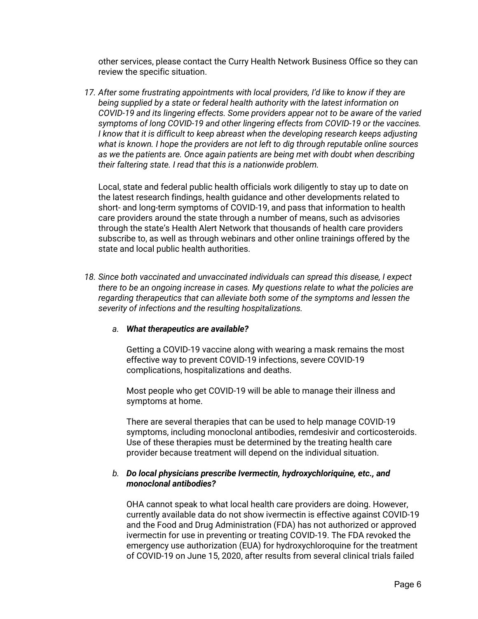other services, please contact the Curry Health Network Business Office so they can review the specific situation.

*17. After some frustrating appointments with local providers, I'd like to know if they are being supplied by a state or federal health authority with the latest information on COVID-19 and its lingering effects. Some providers appear not to be aware of the varied symptoms of long COVID-19 and other lingering effects from COVID-19 or the vaccines. I* know that it is difficult to keep abreast when the developing research keeps adjusting *what is known. I hope the providers are not left to dig through reputable online sources as we the patients are. Once again patients are being met with doubt when describing their faltering state. I read that this is a nationwide problem.*

Local, state and federal public health officials work diligently to stay up to date on the latest research findings, health guidance and other developments related to short- and long-term symptoms of COVID-19, and pass that information to health care providers around the state through a number of means, such as advisories through the state's Health Alert Network that thousands of health care providers subscribe to, as well as through webinars and other online trainings offered by the state and local public health authorities.

*18. Since both vaccinated and unvaccinated individuals can spread this disease, I expect there to be an ongoing increase in cases. My questions relate to what the policies are regarding therapeutics that can alleviate both some of the symptoms and lessen the severity of infections and the resulting hospitalizations.*

#### *a. What therapeutics are available?*

Getting a COVID-19 vaccine along with wearing a mask remains the most effective way to prevent COVID-19 infections, severe COVID-19 complications, hospitalizations and deaths.

Most people who get COVID-19 will be able to manage their illness and symptoms at home.

There are several therapies that can be used to help manage COVID-19 symptoms, including monoclonal antibodies, remdesivir and corticosteroids. Use of these therapies must be determined by the treating health care provider because treatment will depend on the individual situation.

#### *b. Do local physicians prescribe Ivermectin, hydroxychloriquine, etc., and monoclonal antibodies?*

OHA cannot speak to what local health care providers are doing. However, currently available data do not show ivermectin is effective against COVID-19 and the Food and Drug Administration (FDA) has not authorized or approved ivermectin for use in preventing or treating COVID-19. The FDA revoked the emergency use authorization (EUA) for hydroxychloroquine for the treatment of COVID-19 on June 15, 2020, after results from several clinical trials failed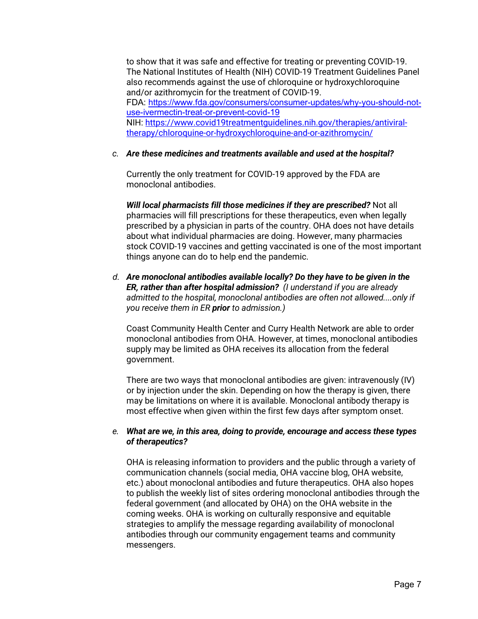to show that it was safe and effective for treating or preventing COVID-19. The National Institutes of Health (NIH) COVID-19 Treatment Guidelines Panel also recommends against the use of chloroquine or hydroxychloroquine and/or azithromycin for the treatment of COVID-19. FDA: [https://www.fda.gov/consumers/consumer-updates/why-you-should-not](https://www.fda.gov/consumers/consumer-updates/why-you-should-not-use-ivermectin-treat-or-prevent-covid-19)[use-ivermectin-treat-or-prevent-covid-19](https://www.fda.gov/consumers/consumer-updates/why-you-should-not-use-ivermectin-treat-or-prevent-covid-19) NIH: [https://www.covid19treatmentguidelines.nih.gov/therapies/antiviral](https://www.covid19treatmentguidelines.nih.gov/therapies/antiviral-therapy/chloroquine-or-hydroxychloroquine-and-or-azithromycin/)[therapy/chloroquine-or-hydroxychloroquine-and-or-azithromycin/](https://www.covid19treatmentguidelines.nih.gov/therapies/antiviral-therapy/chloroquine-or-hydroxychloroquine-and-or-azithromycin/)

#### *c. Are these medicines and treatments available and used at the hospital?*

Currently the only treatment for COVID-19 approved by the FDA are monoclonal antibodies.

*Will local pharmacists fill those medicines if they are prescribed?* Not all pharmacies will fill prescriptions for these therapeutics, even when legally prescribed by a physician in parts of the country. OHA does not have details about what individual pharmacies are doing. However, many pharmacies stock COVID-19 vaccines and getting vaccinated is one of the most important things anyone can do to help end the pandemic.

*d. Are monoclonal antibodies available locally? Do they have to be given in the ER, rather than after hospital admission? (I understand if you are already admitted to the hospital, monoclonal antibodies are often not allowed....only if you receive them in ER prior to admission.)*

Coast Community Health Center and Curry Health Network are able to order monoclonal antibodies from OHA. However, at times, monoclonal antibodies supply may be limited as OHA receives its allocation from the federal government.

There are two ways that monoclonal antibodies are given: intravenously (IV) or by injection under the skin. Depending on how the therapy is given, there may be limitations on where it is available. Monoclonal antibody therapy is most effective when given within the first few days after symptom onset.

#### *e. What are we, in this area, doing to provide, encourage and access these types of therapeutics?*

OHA is releasing information to providers and the public through a variety of communication channels (social media, OHA vaccine blog, OHA website, etc.) about monoclonal antibodies and future therapeutics. OHA also hopes to publish the weekly list of sites ordering monoclonal antibodies through the federal government (and allocated by OHA) on the OHA website in the coming weeks. OHA is working on culturally responsive and equitable strategies to amplify the message regarding availability of monoclonal antibodies through our community engagement teams and community messengers.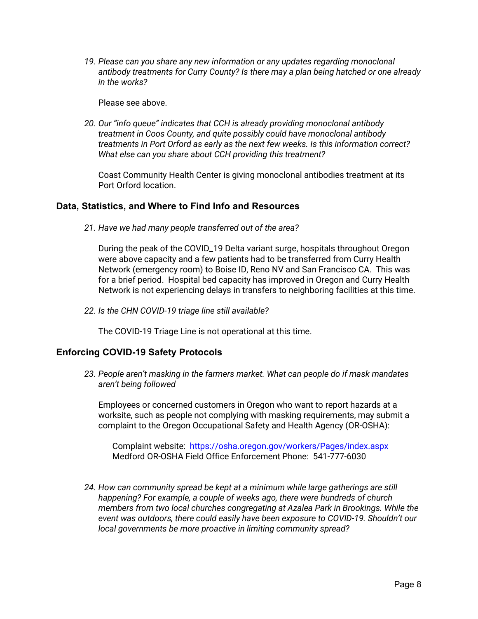*19. Please can you share any new information or any updates regarding monoclonal antibody treatments for Curry County? Is there may a plan being hatched or one already in the works?*

Please see above.

*20. Our "info queue" indicates that CCH is already providing monoclonal antibody treatment in Coos County, and quite possibly could have monoclonal antibody treatments in Port Orford as early as the next few weeks. Is this information correct? What else can you share about CCH providing this treatment?*

Coast Community Health Center is giving monoclonal antibodies treatment at its Port Orford location.

### **Data, Statistics, and Where to Find Info and Resources**

*21. Have we had many people transferred out of the area?*

During the peak of the COVID\_19 Delta variant surge, hospitals throughout Oregon were above capacity and a few patients had to be transferred from Curry Health Network (emergency room) to Boise ID, Reno NV and San Francisco CA. This was for a brief period. Hospital bed capacity has improved in Oregon and Curry Health Network is not experiencing delays in transfers to neighboring facilities at this time.

*22. Is the CHN COVID-19 triage line still available?*

The COVID-19 Triage Line is not operational at this time.

### **Enforcing COVID-19 Safety Protocols**

*23. People aren't masking in the farmers market. What can people do if mask mandates aren't being followed* 

Employees or concerned customers in Oregon who want to report hazards at a worksite, such as people not complying with masking requirements, may submit a complaint to the Oregon Occupational Safety and Health Agency (OR-OSHA):

Complaint website: <https://osha.oregon.gov/workers/Pages/index.aspx> Medford OR-OSHA Field Office Enforcement Phone: 541-777-6030

*24. How can community spread be kept at a minimum while large gatherings are still happening? For example, a couple of weeks ago, there were hundreds of church members from two local churches congregating at Azalea Park in Brookings. While the event was outdoors, there could easily have been exposure to COVID-19. Shouldn't our local governments be more proactive in limiting community spread?*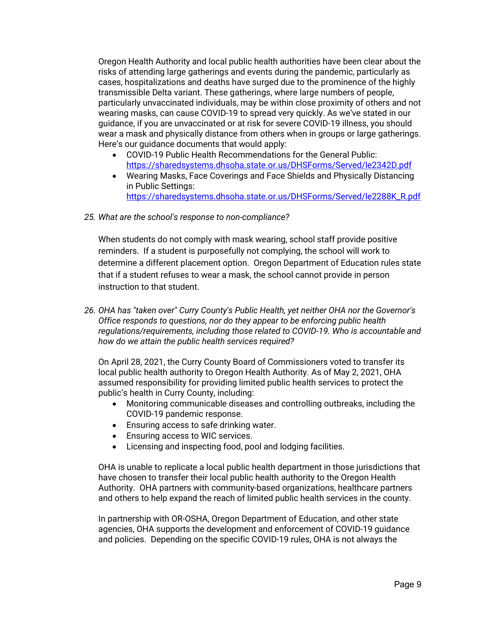Oregon Health Authority and local public health authorities have been clear about the risks of attending large gatherings and events during the pandemic, particularly as cases, hospitalizations and deaths have surged due to the prominence of the highly transmissible Delta variant. These gatherings, where large numbers of people, particularly unvaccinated individuals, may be within close proximity of others and not wearing masks, can cause COVID-19 to spread very quickly. As we've stated in our guidance, if you are unvaccinated or at risk for severe COVID-19 illness, you should wear a mask and physically distance from others when in groups or large gatherings. Here's our guidance documents that would apply:

- COVID-19 Public Health Recommendations for the General Public: <https://sharedsystems.dhsoha.state.or.us/DHSForms/Served/le2342D.pdf>
- Wearing Masks, Face Coverings and Face Shields and Physically Distancing in Public Settings: [https://sharedsystems.dhsoha.state.or.us/DHSForms/Served/le2288K\\_R.pdf](https://sharedsystems.dhsoha.state.or.us/DHSForms/Served/le2288K_R.pdf)
- *25. What are the school's response to non-compliance?*

When students do not comply with mask wearing, school staff provide positive reminders. If a student is purposefully not complying, the school will work to determine a different placement option. Oregon Department of Education rules state that if a student refuses to wear a mask, the school cannot provide in person instruction to that student.

*26. OHA has "taken over" Curry County's Public Health, yet neither OHA nor the Governor's Office responds to questions, nor do they appear to be enforcing public health regulations/requirements, including those related to COVID-19. Who is accountable and how do we attain the public health services required?*

On April 28, 2021, the Curry County Board of Commissioners voted to transfer its local public health authority to Oregon Health Authority. As of May 2, 2021, OHA assumed responsibility for providing limited public health services to protect the public's health in Curry County, including:

- Monitoring communicable diseases and controlling outbreaks, including the COVID-19 pandemic response.
- Ensuring access to safe drinking water.
- Ensuring access to WIC services.
- Licensing and inspecting food, pool and lodging facilities.

OHA is unable to replicate a local public health department in those jurisdictions that have chosen to transfer their local public health authority to the Oregon Health Authority. OHA partners with community-based organizations, healthcare partners and others to help expand the reach of limited public health services in the county.

In partnership with OR-OSHA, Oregon Department of Education, and other state agencies, OHA supports the development and enforcement of COVID-19 guidance and policies. Depending on the specific COVID-19 rules, OHA is not always the